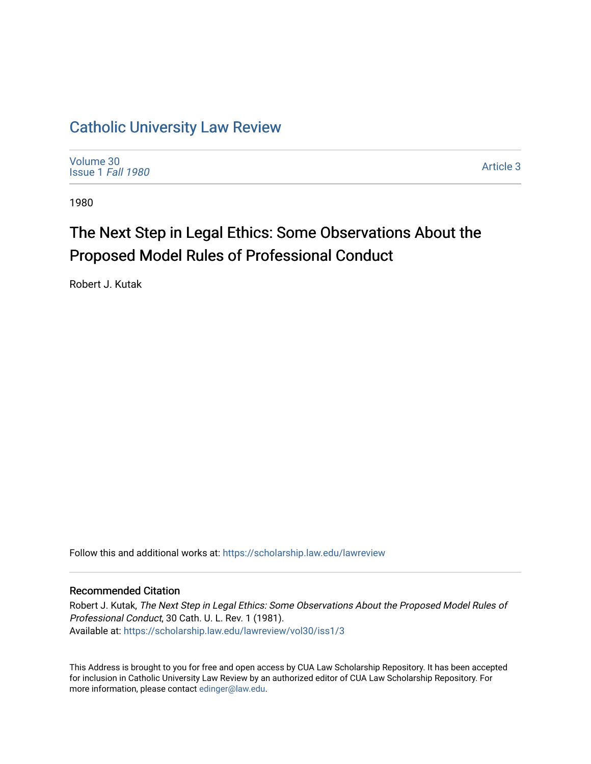## [Catholic University Law Review](https://scholarship.law.edu/lawreview)

[Volume 30](https://scholarship.law.edu/lawreview/vol30) [Issue 1](https://scholarship.law.edu/lawreview/vol30/iss1) Fall 1980

[Article 3](https://scholarship.law.edu/lawreview/vol30/iss1/3) 

1980

## The Next Step in Legal Ethics: Some Observations About the Proposed Model Rules of Professional Conduct

Robert J. Kutak

Follow this and additional works at: [https://scholarship.law.edu/lawreview](https://scholarship.law.edu/lawreview?utm_source=scholarship.law.edu%2Flawreview%2Fvol30%2Fiss1%2F3&utm_medium=PDF&utm_campaign=PDFCoverPages)

## Recommended Citation

Robert J. Kutak, The Next Step in Legal Ethics: Some Observations About the Proposed Model Rules of Professional Conduct, 30 Cath. U. L. Rev. 1 (1981). Available at: [https://scholarship.law.edu/lawreview/vol30/iss1/3](https://scholarship.law.edu/lawreview/vol30/iss1/3?utm_source=scholarship.law.edu%2Flawreview%2Fvol30%2Fiss1%2F3&utm_medium=PDF&utm_campaign=PDFCoverPages)

This Address is brought to you for free and open access by CUA Law Scholarship Repository. It has been accepted for inclusion in Catholic University Law Review by an authorized editor of CUA Law Scholarship Repository. For more information, please contact [edinger@law.edu.](mailto:edinger@law.edu)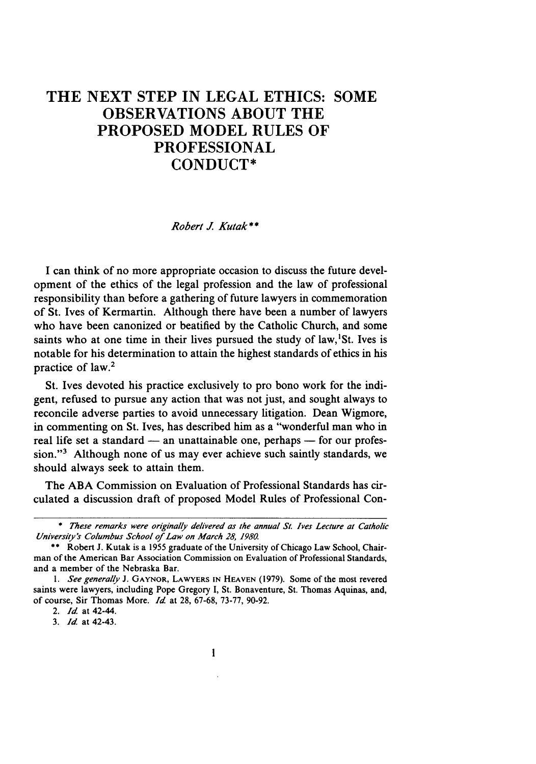## THE **NEXT STEP IN LEGAL ETHICS: SOME OBSERVATIONS ABOUT** THE PROPOSED MODEL **RULES** OF **PROFESSIONAL** CONDUCT\*

*Robert J Kutak \*\**

I can think of no more appropriate occasion to discuss the future development of the ethics of the legal profession and the law of professional responsibility than before a gathering of future lawyers in commemoration of St. Ives of Kermartin. Although there have been a number of lawyers who have been canonized or beatified by the Catholic Church, and some saints who at one time in their lives pursued the study of law,  $S$ t. Ives is notable for his determination to attain the highest standards of ethics in his practice of law.2

St. Ives devoted his practice exclusively to pro bono work for the indigent, refused to pursue any action that was not just, and sought always to reconcile adverse parties to avoid unnecessary litigation. Dean Wigmore, in commenting on St. Ives, has described him as a "wonderful man who in real life set a standard  $-$  an unattainable one, perhaps  $-$  for our profession."3 Although none of us may ever achieve such saintly standards, we should always seek to attain them.

The ABA Commission on Evaluation of Professional Standards has circulated a discussion draft of proposed Model Rules of Professional Con-

*3. Id* at 42-43.

*<sup>\*</sup> These* remarks were originally delivered as the annual St. Ives Lecture at Catholic University's Columbus School of Law on *March* 28, 1980.

<sup>\*\*</sup> Robert J. Kutak is a 1955 graduate of the University of Chicago Law School, Chairman of the American Bar Association Commission on Evaluation of Professional Standards, and a member of the Nebraska Bar.

**<sup>1.</sup>** See generally J. GAYNOR, LAWYERS **IN HEAVEN** (1979). Some of the most revered saints were lawyers, including Pope Gregory I, St. Bonaventure, St. Thomas Aquinas, and, of course, Sir Thomas More. *Id* at 28, 67-68, 73-77, 90-92.

*<sup>2.</sup> Id* at 42-44.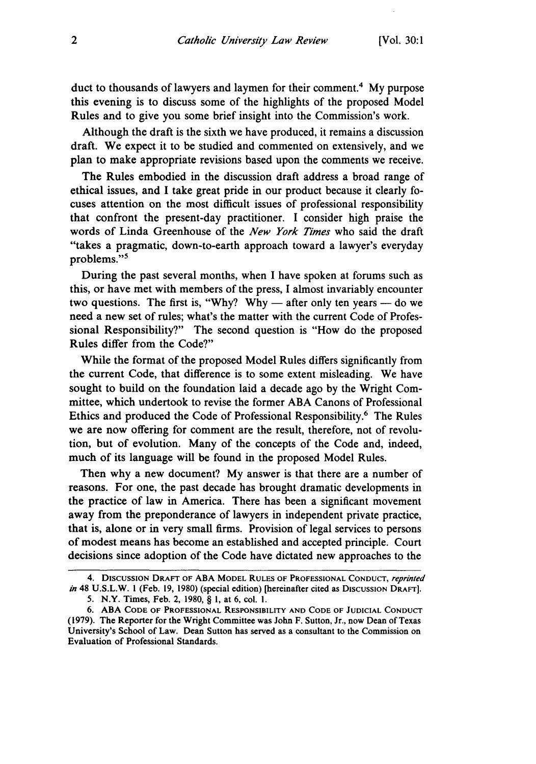duct to thousands of lawyers and laymen for their comment. 4 My purpose this evening is to discuss some of the highlights of the proposed Model Rules and to give you some brief insight into the Commission's work.

Although the draft is the sixth we have produced, it remains a discussion draft. We expect it to be studied and commented on extensively, and we plan to make appropriate revisions based upon the comments we receive.

The Rules embodied in the discussion draft address a broad range of ethical issues, and I take great pride in our product because it clearly focuses attention on the most difficult issues of professional responsibility that confront the present-day practitioner. I consider high praise the words of Linda Greenhouse of the *New York Times* who said the draft "takes a pragmatic, down-to-earth approach toward a lawyer's everyday problems."<sup>5</sup>

During the past several months, when I have spoken at forums such as this, or have met with members of the press, I almost invariably encounter two questions. The first is, "Why? Why — after only ten years — do we need a new set of rules; what's the matter with the current Code of Professional Responsibility?" The second question is "How do the proposed Rules differ from the Code?"

While the format of the proposed Model Rules differs significantly from the current Code, that difference is to some extent misleading. We have sought to build on the foundation laid a decade ago by the Wright Committee, which undertook to revise the former ABA Canons of Professional Ethics and produced the Code of Professional Responsibility.6 The Rules we are now offering for comment are the result, therefore, not of revolution, but of evolution. Many of the concepts of the Code and, indeed, much of its language will be found in the proposed Model Rules.

Then why a new document? My answer is that there are a number of reasons. For one, the past decade has brought dramatic developments in the practice of law in America. There has been a significant movement away from the preponderance of lawyers in independent private practice, that is, alone or in very small firms. Provision of legal services to persons of modest means has become an established and accepted principle. Court decisions since adoption of the Code have dictated new approaches to the

<sup>4.</sup> DISCUSSION DRAFT OF **ABA** MODEL **RULES** OF **PROFESSIONAL CONDUCT,** reprinted in 48 U.S.L.W. 1 (Feb. 19, 1980) (special edition) [hereinafter cited as Discussion DRAFT].

<sup>5.</sup> N.Y. Times, Feb. 2, 1980, § 1, at 6, col. **1.**

**<sup>6.</sup> ABA CODE** OF **PROFESSIONAL RESPONSIBILITY AND CODE OF JUDICIAL CONDUCT** (1979). The Reporter for the Wright Committee was John F. Sutton, Jr., now Dean of Texas University's School of Law. Dean Sutton has served as a consultant to the Commission on Evaluation of Professional Standards.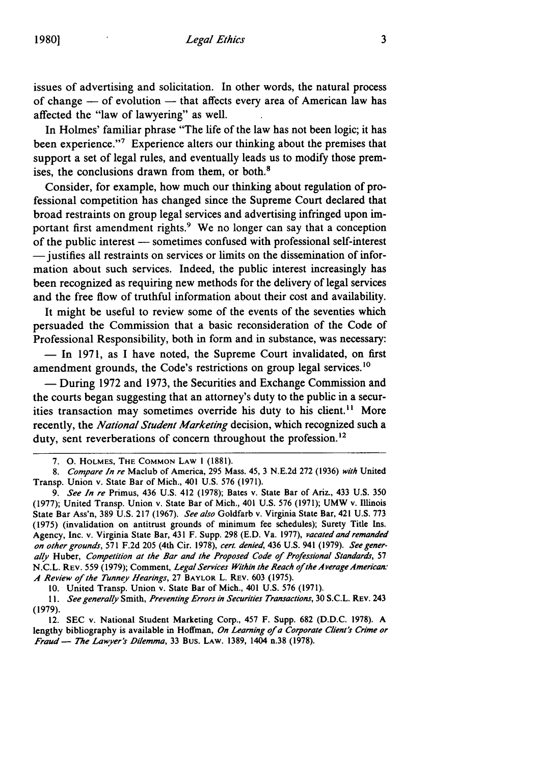issues of advertising and solicitation. In other words, the natural process of change - of evolution - that affects every area of American law has affected the "law of lawyering" as well.

In Holmes' familiar phrase "The life of the law has not been logic; it has been experience."<sup>7</sup> Experience alters our thinking about the premises that support a set of legal rules, and eventually leads us to modify those premises, the conclusions drawn from them, or both.<sup>8</sup>

Consider, for example, how much our thinking about regulation of professional competition has changed since the Supreme Court declared that broad restraints on group legal services and advertising infringed upon important first amendment rights.<sup>9</sup> We no longer can say that a conception of the public interest - sometimes confused with professional self-interest -- justifies all restraints on services or limits on the dissemination of information about such services. Indeed, the public interest increasingly has been recognized as requiring new methods for the delivery of legal services and the free flow of truthful information about their cost and availability.

It might be useful to review some of the events of the seventies which persuaded the Commission that a basic reconsideration of the Code of Professional Responsibility, both in form and in substance, was necessary:

- In 1971, as I have noted, the Supreme Court invalidated, on first amendment grounds, the Code's restrictions on group legal services.<sup>10</sup>

- During 1972 and 1973, the Securities and Exchange Commission and the courts began suggesting that an attorney's duty to the public in a securities transaction may sometimes override his duty to his client. **"** More recently, the *National Student Marketing* decision, which recognized such a duty, sent reverberations of concern throughout the profession.<sup>12</sup>

10. United Transp. Union v. State Bar of Mich., 401 U.S. 576 (1971).

*11. See generally* Smith, *Preventing Errors in Securities Transactions,* 30 S.C.L. REV. 243 (1979).

12. SEC v. National Student Marketing Corp., 457 F. Supp. 682 (D.D.C. 1978). **A** lengthy bibliography is available in Hoffman, *On Learning of a Corporate Client's Crime or Fraud - The Lawyer's Dilemma,* 33 Bus. LAW. 1389, 1404 n.38 (1978).

<sup>7.</sup> **0. HOLMES,** THE **COMMON** LAW **1** (1881).

*<sup>8.</sup> Compare In re* Maclub of America, 295 Mass. 45, 3 N.E.2d 272 (1936) *with* United Transp. Union v. State Bar of Mich., 401 U.S. 576 (1971).

*<sup>9.</sup> See In re* Primus, 436 U.S. 412 (1978); Bates v. State Bar of Ariz., 433 U.S. 350 (1977); United Transp. Union v. State Bar of Mich., 401 U.S. 576 (1971); UMW v. Illinois State Bar Ass'n, 389 U.S. 217 (1967). *See also* Goldfarb v. Virginia State Bar, 421 U.S. 773 (1975) (invalidation on antitrust grounds of minimum fee schedules); Surety Title Ins. Agency, Inc. v. Virginia State Bar, 431 F. Supp. 298 (E.D. Va. 1977), *vacated and remanded on other grounds,* 571 F.2d 205 (4th Cir. 1978), *cert. denied,* 436 U.S. 941 (1979). *See generally* Huber, *Competition at* the *Bar and the Proposed Code of Professional Standards,* 57 N.C.L. REV. 559 (1979); Comment, *Legal Services Within the Reach of the Average American: A Review of the Tunney Hearings,* 27 BAYLOR L. REV. 603 (1975).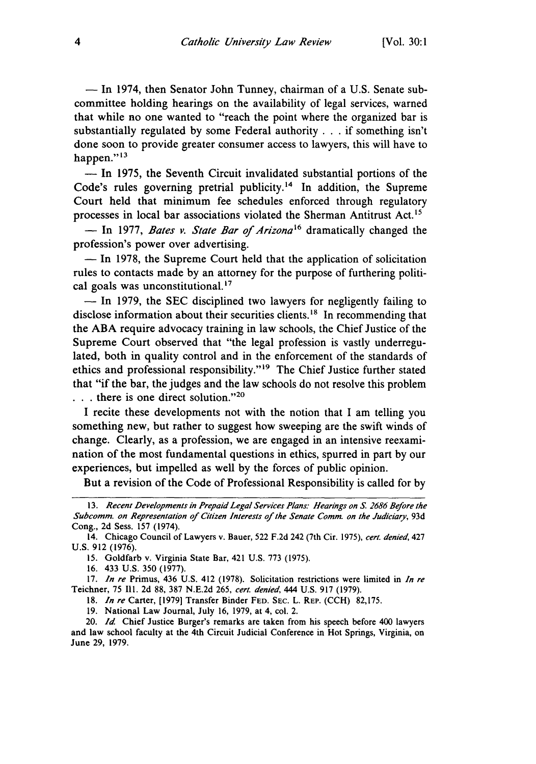- In 1974, then Senator John Tunney, chairman of a U.S. Senate subcommittee holding hearings on the availability of legal services, warned that while no one wanted to "reach the point where the organized bar is substantially regulated by some Federal authority **. . .** if something isn't done soon to provide greater consumer access to lawyers, this will have to happen."<sup>13</sup>

**-** In 1975, the Seventh Circuit invalidated substantial portions of the Code's rules governing pretrial publicity.<sup>14</sup> In addition, the Supreme Court held that minimum fee schedules enforced through regulatory processes in local bar associations violated the Sherman Antitrust Act.<sup>15</sup>

- In 1977, *Bates v. State Bar of Arizona*<sup>16</sup> dramatically changed the profession's power over advertising.

**-** In 1978, the Supreme Court held that the application of solicitation rules to contacts made by an attorney for the purpose of furthering political goals was unconstitutional.<sup>17</sup>

 $-$  In 1979, the SEC disciplined two lawyers for negligently failing to disclose information about their securities clients.<sup>18</sup> In recommending that the ABA require advocacy training in law schools, the Chief Justice of the Supreme Court observed that "the legal profession is vastly underregulated, both in quality control and in the enforcement of the standards of ethics and professional responsibility."<sup>19</sup> The Chief Justice further stated that "if the bar, the judges and the law schools do not resolve this problem ... there is one direct solution."<sup>20</sup>

I recite these developments not with the notion that I am telling you something new, but rather to suggest how sweeping are the swift winds of change. Clearly, as a profession, we are engaged in an intensive reexamination of the most fundamental questions in ethics, spurred in part by our experiences, but impelled as well by the forces of public opinion.

But a revision of the Code of Professional Responsibility is called for by

16. 433 U.S. 350 (1977).

17. *In re* Primus, 436 U.S. 412 (1978). Solicitation restrictions were limited in *In re* Teichner, 75 Ill. 2d 88, 387 N.E.2d 265, *cert. denied,* 444 U.S. 917 (1979).

18. *In re* Carter, [1979] Transfer Binder **FED. SEC.** L. REP. (CCH) 82,175.

**19.** National Law Journal, July 16, 1979, at 4, col. 2.

20. *Id* Chief Justice Burger's remarks are taken from his speech before 400 lawyers and law school faculty at the 4th Circuit Judicial Conference in Hot Springs, Virginia, on June 29, 1979.

<sup>13.</sup> *Recent Developments in Prepaid Legal Services Plans. Hearings on* **S.** *2686 Before the* Subcomm. on *Representation of Citizen Interests of the Senate* Comm. on the *Judiciary,* 93d Cong., 2d Sess. 157 (1974).

<sup>14.</sup> Chicago Council of Lawyers v. Bauer, 522 F.2d 242 (7th Cir. 1975), *cert. denied,* 427 U.S. 912 (1976).

<sup>15.</sup> Goldfarb v. Virginia State Bar, 421 U.S. 773 (1975).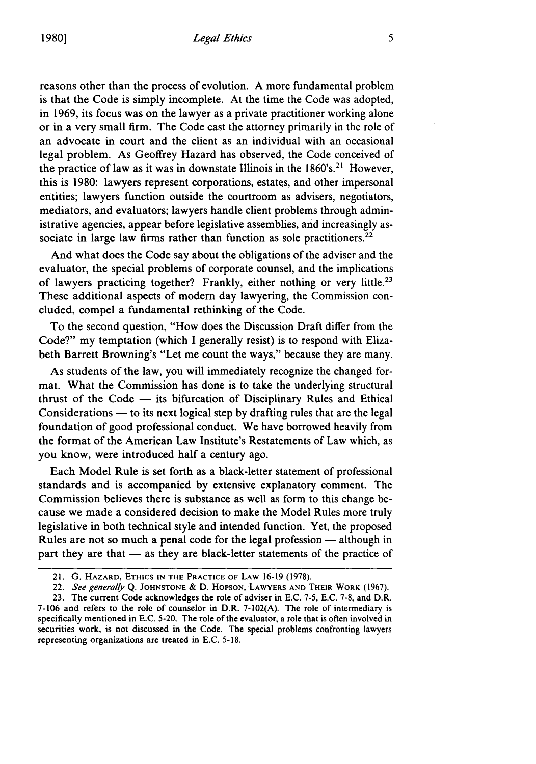reasons other than the process of evolution. A more fundamental problem is that the Code is simply incomplete. At the time the Code was adopted, in 1969, its focus was on the lawyer as a private practitioner working alone or in a very small firm. The Code cast the attorney primarily in the role of

an advocate in court and the client as an individual with an occasional legal problem. As Geoffrey Hazard has observed, the Code conceived of the practice of law as it was in downstate Illinois in the  $1860's$ <sup>21</sup> However, this is 1980: lawyers represent corporations, estates, and other impersonal entities; lawyers function outside the courtroom as advisers, negotiators, mediators, and evaluators; lawyers handle client problems through administrative agencies, appear before legislative assemblies, and increasingly associate in large law firms rather than function as sole practitioners.<sup>22</sup>

And what does the Code say about the obligations of the adviser and the evaluator, the special problems of corporate counsel, and the implications of lawyers practicing together? Frankly, either nothing or very little.23 These additional aspects of modem day lawyering, the Commission concluded, compel a fundamental rethinking of the Code.

To the second question, "How does the Discussion Draft differ from the Code?" my temptation (which I generally resist) is to respond with Elizabeth Barrett Browning's "Let me count the ways," because they are many.

As students of the law, you will immediately recognize the changed format. What the Commission has done is to take the underlying structural thrust of the  $Code$  - its bifurcation of Disciplinary Rules and Ethical Considerations — to its next logical step by drafting rules that are the legal foundation of good professional conduct. We have borrowed heavily from the format of the American Law Institute's Restatements of Law which, as you know, were introduced half a century ago.

Each Model Rule is set forth as a black-letter statement of professional standards and is accompanied by extensive explanatory comment. The Commission believes there is substance as well as form to this change because we made a considered decision to make the Model Rules more truly legislative in both technical style and intended function. Yet, the proposed Rules are not so much a penal code for the legal profession  $-$  although in part they are that  $-$  as they are black-letter statements of the practice of

<sup>21.</sup> G. HAZARD, **ETHICS IN** THE PRACTICE OF LAW 16-19 (1978).

<sup>22.</sup> See generally Q. **JOHNSTONE** & D. **HOPSON,** LAWYERS **AND THEIR** WORK (1967).

<sup>23.</sup> The current Code acknowledges the role of adviser in E.C. 7-5, E.C. 7-8, and D.R. 7-106 and refers to the role of counselor in D.R. 7-102(A). The role of intermediary is specifically mentioned in E.C. 5-20. The role of the evaluator, a role that is often involved in securities work, is not discussed in the Code. The special problems confronting lawyers representing organizations are treated in E.C. 5-18.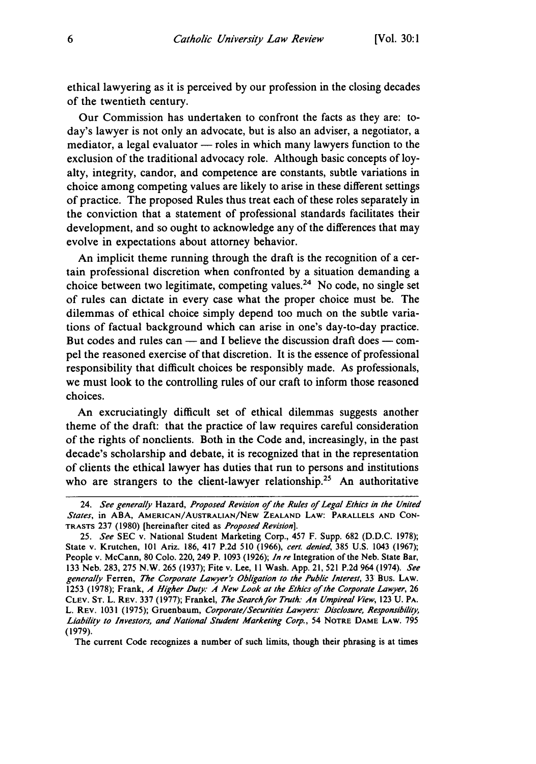ethical lawyering as it is perceived by our profession in the closing decades of the twentieth century.

Our Commission has undertaken to confront the facts as they are: today's lawyer is not only an advocate, but is also an adviser, a negotiator, a mediator, a legal evaluator  $-$  roles in which many lawyers function to the exclusion of the traditional advocacy role. Although basic concepts of loyalty, integrity, candor, and competence are constants, subtle variations in choice among competing values are likely to arise in these different settings of practice. The proposed Rules thus treat each of these roles separately in the conviction that a statement of professional standards facilitates their development, and so ought to acknowledge any of the differences that may evolve in expectations about attorney behavior.

An implicit theme running through the draft is the recognition of a certain professional discretion when confronted by a situation demanding a choice between two legitimate, competing values.<sup>24</sup> No code, no single set of rules can dictate in every case what the proper choice must be. The dilemmas of ethical choice simply depend too much on the subtle variations of factual background which can arise in one's day-to-day practice. But codes and rules can  $-$  and I believe the discussion draft does  $-$  compel the reasoned exercise of that discretion. It is the essence of professional responsibility that difficult choices be responsibly made. As professionals, we must look to the controlling rules of our craft to inform those reasoned choices.

An excruciatingly difficult set of ethical dilemmas suggests another theme of the draft: that the practice of law requires careful consideration of the rights of nonclients. Both in the Code and, increasingly, in the past decade's scholarship and debate, it is recognized that in the representation of clients the ethical lawyer has duties that run to persons and institutions who are strangers to the client-lawyer relationship.<sup>25</sup> An authoritative

The current Code recognizes a number of such limits, though their phrasing is at times

<sup>24.</sup> See generally Hazard, *Proposed Revision of the Rules of Legal Ethics in the United* States, in **ABA, AMERICAN/AUSTRALIAN/NEW ZEALAND** LAW: PARALLELS **AND CON-**TRASTS **237** (1980) [hereinafter cited as *Proposed* Revision].

<sup>25.</sup> *See* SEC v. National Student Marketing Corp., 457 F. Supp. **682** (D.D.C. 1978); State v. Krutchen, 101 Ariz. 186, 417 P.2d 510 (1966), *cert. denied,* **385** U.S. 1043 (1967); People v. McCann, **80** Colo. 220, 249 P. **1093** (1926); *In re* Integration of the Neb. State Bar, 133 Neb. 283, **275** N.W. 265 (1937); Fite v. Lee, 11 Wash. App. 21, 521 P.2d 964 (1974). *See* generally Ferren, *The Corporate* Lawyer's Obligation to the *Public Interest,* 33 Bus. LAW. 1253 (1978); Frank, *A Higher Duty. A New Look at the Ethics* of *the Corporate Lawyer,* 26 CLEV. ST. L. REV. 337 (1977); Frankel, *The Searchfor Truth.- An Umpireal View,* 123 U. PA. L. REV. 1031 (1975); Gruenbaum, *Corporate/Securities Lawyers.- Disclosure, Responsibility, Liability to Investors, and National Student Marketing Corp.,* 54 **NOTRE DAME** LAW. 795 (1979).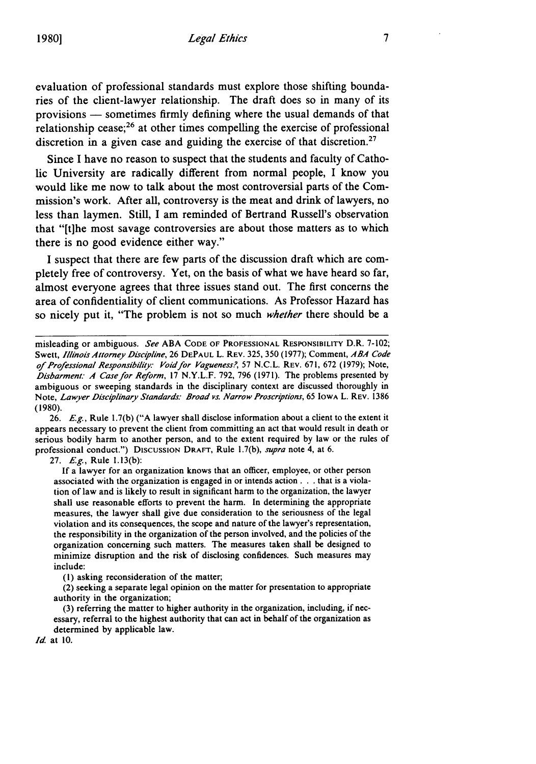evaluation of professional standards must explore those shifting boundaries of the client-lawyer relationship. The draft does so in many of its provisions **-** sometimes firmly defining where the usual demands of that relationship cease;<sup>26</sup> at other times compelling the exercise of professional discretion in a given case and guiding the exercise of that discretion.<sup>27</sup>

Since **I** have no reason to suspect that the students and faculty of Catholic University are radically different from normal people, I know you would like me now to talk about the most controversial parts of the Commission's work. After all, controversy is the meat and drink of lawyers, no less than laymen. Still, **I** am reminded of Bertrand Russell's observation that "[t]he most savage controversies are about those matters as to which there is no good evidence either way."

**I** suspect that there are few parts of the discussion draft which are completely free of controversy. Yet, on the basis of what we have heard so far, almost everyone agrees that three issues stand out. The first concerns the area of confidentiality of client communications. As Professor Hazard has so nicely put it, "The problem is not so much *whether* there should be a

26. *E.g.,* Rule 1.7(b) ("A lawyer shall disclose information about a client to the extent it appears necessary to prevent the client from committing an act that would result in death or serious bodily harm to another person, and to the extent required by law or the rules of professional conduct.") Discussion DRAFT, Rule 1.7(b), supra note 4, at 6.

27. *Eg.,* Rule 1.13(b):

If a lawyer for an organization knows that an officer, employee, or other person associated with the organization is engaged in or intends action. **. .** that is a violation of law and is likely to result in significant harm to the organization, the lawyer shall use reasonable efforts to prevent the harm. In determining the appropriate measures, the lawyer shall give due consideration to the seriousness of the legal violation and its consequences, the scope and nature of the lawyer's representation, the responsibility in the organization of the person involved, and the policies of the organization concerning such matters. The measures taken shall be designed to minimize disruption and the risk of disclosing confidences. Such measures may include:

**(1)** asking reconsideration of the matter;

(2) seeking a separate legal opinion on the matter for presentation to appropriate authority in the organization;

(3) referring the matter to higher authority in the organization, including, if necessary, referral to the highest authority that can act in behalf of the organization as determined **by** applicable law.

*Id* at **10.**

misleading or ambiguous. *See* ABA **CODE OF PROFESSIONAL** RESPONSIBILITY D.R. 7-102; Swett, *Illinois Attorney Discipline,* 26 **DEPAUL** L. REV. 325, 350 (1977); Comment, *ABA Code of Professional Responsibility Void/or Vagueness?,* 57 N.C.L. REV. 671, **672** (1979); Note, *Disbarment.- A Casefor Reform,* **17** N.Y.L.F. 792, 796 (1971). The problems presented **by** ambiguous or sweeping standards in the disciplinary context are discussed thoroughly in Note, *Lawyer Disciplinary Standards.-* Broad vs. Narrow *Proscriptions,* 65 IOWA L. REV. 1386 (1980).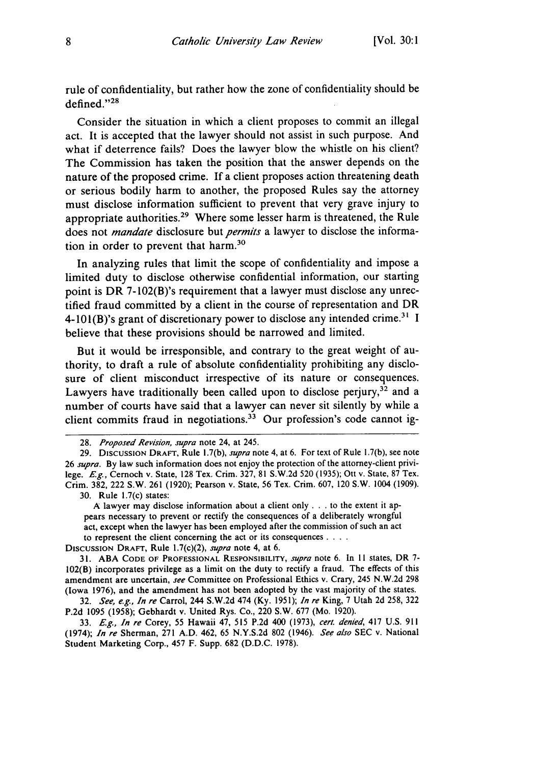rule of confidentiality, but rather how the zone of confidentiality should be defined."<sup>28</sup>

Consider the situation in which a client proposes to commit an illegal act. It is accepted that the lawyer should not assist in such purpose. And what if deterrence fails? Does the lawyer blow the whistle on his client? The Commission has taken the position that the answer depends on the nature of the proposed crime. If a client proposes action threatening death or serious bodily harm to another, the proposed Rules say the attorney must disclose information sufficient to prevent that very grave injury to appropriate authorities.29 Where some lesser harm is threatened, the Rule does not *mandate* disclosure but *permits* a lawyer to disclose the information in order to prevent that harm.<sup>30</sup>

In analyzing rules that limit the scope of confidentiality and impose a limited duty to disclose otherwise confidential information, our starting point is DR 7-102(B)'s requirement that a lawyer must disclose any unrectified fraud committed by a client in the course of representation and DR 4-101(B)'s grant of discretionary power to disclose any intended crime.<sup>31</sup> I believe that these provisions should be narrowed and limited.

But it would be irresponsible, and contrary to the great weight of authority, to draft a rule of absolute confidentiality prohibiting any disclosure of client misconduct irrespective of its nature or consequences. Lawyers have traditionally been called upon to disclose perjury,<sup>32</sup> and a number of courts have said that a lawyer can never sit silently by while a client commits fraud in negotiations.<sup>33</sup> Our profession's code cannot ig-

A lawyer may disclose information about a client only **. . .** to the extent it appears necessary to prevent or rectify the consequences of a deliberately wrongful act, except when the lawyer has been employed after the commission of such an act to represent the client concerning the act or its consequences **....**

DISCUSSION DRAFT, Rule 1.7(c)(2), *supra* note 4, at 6.

31. ABA **CODE** OF **PROFESSIONAL** RESPONSIBILITY, *supra* note 6. In II states, DR 7- 102(B) incorporates privilege as a limit on the duty to rectify a fraud. The effects of this amendment are uncertain, *see* Committee on Professional Ethics v. Crary, 245 N.W.2d **298** (Iowa 1976), and the amendment has not been adopted by the vast majority of the states.

32. *See, e.g., In re* Carrol, 244 S.W.2d 474 (Ky. 1951); *In re* King, 7 Utah 2d 258, 322 P.2d **1095** (1958); Gebhardt v. United Rys. Co., 220 S.W. 677 (Mo. 1920).

33. *E.g., In re* Corey, 55 Hawaii 47, 515 P.2d 400 (1973), *cert. denied,* 417 U.S. 911 (1974); *In re* Sherman, 271 A.D. 462, 65 N.Y.S.2d 802 (1946). *See also* SEC v. National Student Marketing Corp., 457 F. Supp. 682 (D.D.C. 1978).

<sup>28.</sup> *Proposed Revision, supra* note 24, at 245.

<sup>29.</sup> DISCUSSION DRAFT, Rule 1.7(b), *supra* note 4, at 6. For text of Rule 1.7(b), see note 26 *supra.* By law such information does not enjoy the protection of the attorney-client privilege. *Eg.,* Cernoch v. State, 128 Tex. Crim. 327, 81 S.W.2d 520 (1935); Ott v. State, 87 Tex. Crim. 382, 222 S.W. 261 (1920); Pearson v. State, 56 Tex. Crim. 607, 120 S.W. 1004 (1909). 30. Rule 1.7(c) states: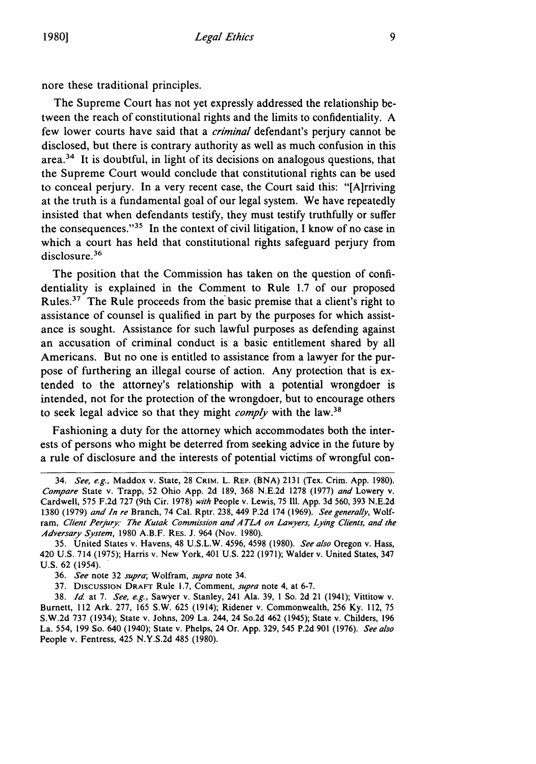nore these traditional principles.

The Supreme Court has not yet expressly addressed the relationship between the reach of constitutional rights and the limits to confidentiality. A few lower courts have said that a *criminal* defendant's perjury cannot be disclosed, but there is contrary authority as well as much confusion in this area.34 It is doubtful, in light of its decisions on analogous questions, that the Supreme Court would conclude that constitutional rights can be used to conceal perjury. In a very recent case, the Court said this: "[Airriving at the truth is a fundamental goal of our legal system. We have repeatedly insisted that when defendants testify, they must testify truthfully or suffer the consequences."<sup>35</sup> In the context of civil litigation, I know of no case in which a court has held that constitutional rights safeguard perjury from disclosure.<sup>36</sup>

The position that the Commission has taken on the question of confidentiality is explained in the Comment to Rule 1.7 of our proposed Rules.<sup>37</sup> The Rule proceeds from the basic premise that a client's right to assistance of counsel is qualified in part by the purposes for which assistance is sought. Assistance for such lawful purposes as defending against an accusation of criminal conduct is a basic entitlement shared by all Americans. But no one is entitled to assistance from a lawyer for the purpose of furthering an illegal course of action. Any protection that is extended to the attorney's relationship with a potential wrongdoer is intended, not for the protection of the wrongdoer, but to encourage others to seek legal advice so that they might *comply* with the law. <sup>38</sup>

Fashioning a duty for the attorney which accommodates both the interests of persons who might be deterred from seeking advice in the future by a rule of disclosure and the interests of potential victims of wrongful con-

<sup>34.</sup> *See, e.g.,* Maddox v. State, 28 **CRIM.** L. REP. **(BNA) 2131** (Tex. Crim. App. 1980). *Compare* State v. Trapp, 52 Ohio App. 2d 189, 368 N.E.2d 1278 (1977) *and* Lowery v. Cardwell, 575 F.2d 727 (9th Cir. 1978) *with* People v. Lewis, 75 Ill. App. 3d 560, 393 N.E.2d 1380 (1979) *and In re* Branch, 74 Cal. Rptr. 238, 449 P.2d 174 (1969). *See generally,* Wolfram, *Client Perjury: The Kutak Commission and A TLA on Lawyers, Lying Clients, and the Adversary System,* 1980 A.B.F. RES. J. 964 (Nov. 1980).

<sup>35.</sup> United States v. Havens, 48 U.S.L.W. 4596, 4598 (1980). *See also* Oregon v. Hass, 420 U.S. 714 (1975); Harris v. New York, 401 U.S. 222 (1971); Walder v. United States, 347 U.S. 62 (1954).

<sup>36.</sup> *See* note 32 *supra;* Wolfram, *supra* note 34.

<sup>37.</sup> DIsCussIoN DRAFT Rule 1.7, Comment, *supra* note 4, at 6-7.

**<sup>38.</sup>** Id. at 7. *See, e.g.,* Sawyer v. Stanley, 241 Ala. 39, 1 So. 2d 21 (1941); Vittitow v. Burnett, 112 Ark. 277, 165 S.W. 625 (1914); Ridener v. Commonwealth, 256 Ky. 112, 75 S.W.2d 737 (1934); State v. Johns, 209 La. 244, 24 So.2d 462 (1945); State v. Childers, 196 La. 554, 199 So. 640 (1940); State v. Phelps, 24 Or. App. 329, 545 P.2d 901 (1976). *See also* People v. Fentress, 425 N.Y.S.2d 485 (1980).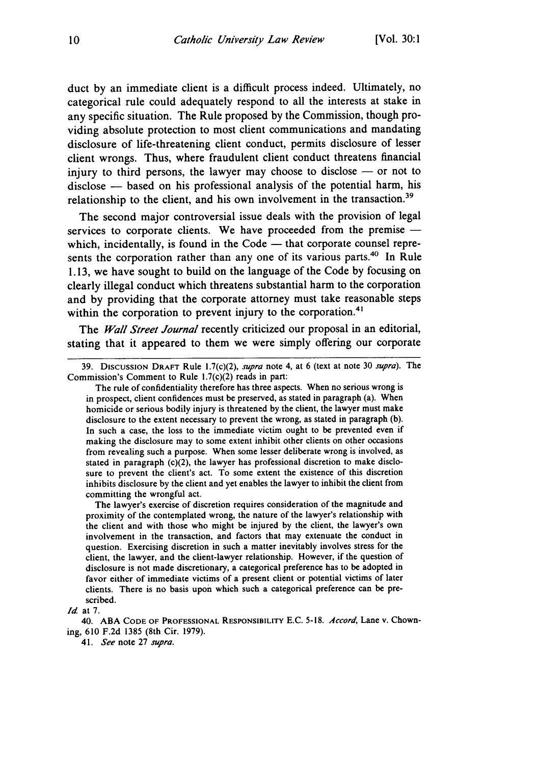duct by an immediate client is a difficult process indeed. Ultimately, no categorical rule could adequately respond to all the interests at stake in any specific situation. The Rule proposed by the Commission, though providing absolute protection to most client communications and mandating disclosure of life-threatening client conduct, permits disclosure of lesser client wrongs. Thus, where fraudulent client conduct threatens financial injury to third persons, the lawyer may choose to disclose  $-$  or not to disclose - based on his professional analysis of the potential harm, his relationship to the client, and his own involvement in the transaction.<sup>39</sup>

The second major controversial issue deals with the provision of legal services to corporate clients. We have proceeded from the premise which, incidentally, is found in the Code  $-$  that corporate counsel represents the corporation rather than any one of its various parts.<sup>40</sup> In Rule 1.13, we have sought to build on the language of the Code by focusing on clearly illegal conduct which threatens substantial harm to the corporation and by providing that the corporate attorney must take reasonable steps within the corporation to prevent injury to the corporation.<sup>41</sup>

The *Wall Street Journal* recently criticized our proposal in an editorial, stating that it appeared to them we were simply offering our corporate

The rule of confidentiality therefore has three aspects. When no serious wrong is in prospect, client confidences must be preserved, as stated in paragraph (a). When homicide or serious bodily injury is threatened by the client, the lawyer must make disclosure to the extent necessary to prevent the wrong, as stated in paragraph (b). In such a case, the loss to the immediate victim ought to be prevented even if making the disclosure may to some extent inhibit other clients on other occasions from revealing such a purpose. When some lesser deliberate wrong is involved, as stated in paragraph (c)(2), the lawyer has professional discretion to make disclosure to prevent the client's act. To some extent the existence of this discretion inhibits disclosure by the client and yet enables the lawyer to inhibit the client from committing the wrongful act.

The lawyer's exercise of discretion requires consideration of the magnitude and proximity of the contemplated wrong, the nature of the lawyer's relationship with the client and with those who might be injured by the client, the lawyer's own involvement in the transaction, and factors that may extenuate the conduct in question. Exercising discretion in such a matter inevitably involves stress for the client, the lawyer, and the client-lawyer relationship. However, if the question of disclosure is not made discretionary, a categorical preference has to be adopted in favor either of immediate victims of a present client or potential victims of later clients. There is no basis upon which such a categorical preference can be prescribed.

*Id* at 7.

<sup>39.</sup> DISCUSSION DRAFT Rule 1.7(c)(2), *supra* note 4, at 6 (text at note 30 *supra).* The Commission's Comment to Rule !.7(c)(2) reads in part:

<sup>40.</sup> **ABA CODE** OF **PROFESSIONAL** RESPONSIBILITY E.C. **5-18.** *Accord,* Lane v. Chowning, 610 F.2d **1385** (8th Cir. 1979).

*<sup>41.</sup> See* note **27** *supra.*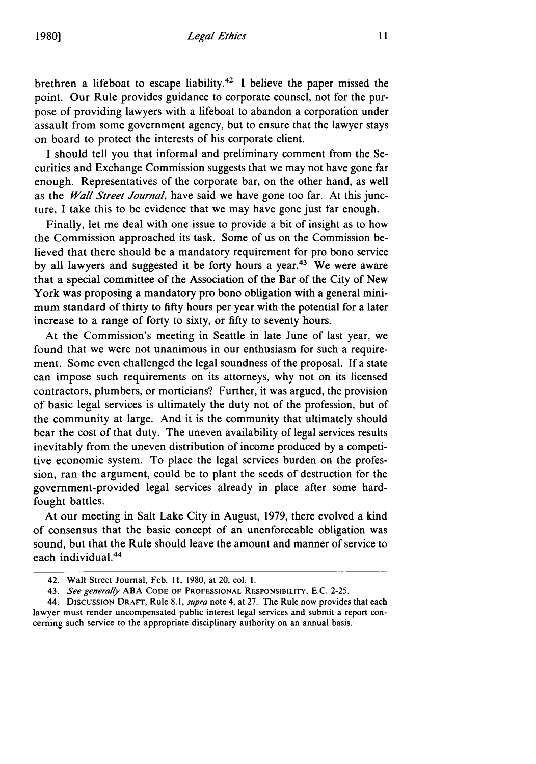brethren a lifeboat to escape liability.<sup>42</sup> I believe the paper missed the point. Our Rule provides guidance to corporate counsel, not for the purpose of providing lawyers with a lifeboat to abandon a corporation under assault from some government agency, but to ensure that the lawyer stays on board to protect the interests of his corporate client.

I should tell you that informal and preliminary comment from the Securities and Exchange Commission suggests that we may not have gone far enough. Representatives of the corporate bar, on the other hand, as well as the *Wall Street Journal,* have said we have gone too far. At this juncture, I take this to be evidence that we may have gone just far enough.

Finally, let me deal with one issue to provide a bit of insight as to how the Commission approached its task. Some of us on the Commission believed that there should be a mandatory requirement for pro bono service by all lawyers and suggested it be forty hours a year.<sup>43</sup> We were aware that a special committee of the Association of the Bar of the City of New York was proposing a mandatory pro bono obligation with a general minimum standard of thirty to fifty hours per year with the potential for a later increase to a range of forty to sixty, or fifty to seventy hours.

At the Commission's meeting in Seattle in late June of last year, we found that we were not unanimous in our enthusiasm for such a requirement. Some even challenged the legal soundness of the proposal. If a state can impose such requirements on its attorneys, why not on its licensed contractors, plumbers, or morticians? Further, it was argued, the provision of basic legal services is ultimately the duty not of the profession, but of the community at large. And it is the community that ultimately should bear the cost of that duty. The uneven availability of legal services results inevitably from the uneven distribution of income produced by a competitive economic system. To place the legal services burden on the profession, ran the argument, could be to plant the seeds of destruction for the government-provided legal services already in place after some hardfought battles.

At our meeting in Salt Lake City in August, 1979, there evolved a kind of consensus that the basic concept of an unenforceable obligation was sound, but that the Rule should leave the amount and manner of service to each individual. $44$ 

<sup>42.</sup> Wall Street Journal, Feb. **11,** 1980, at 20, col. I.

<sup>43.</sup> *See generally* ABA **CODE** OF PROFESSIONAL RESPONSIBILITY, E.C. 2-25.

<sup>44.</sup> DIscUSSION DRAFT, Rule 8. *1, supra* note 4, at 27. The Rule now provides that each lawyer must render uncompensated public interest legal services and submit a report concerning such service to the appropriate disciplinary authority on an annual basis.